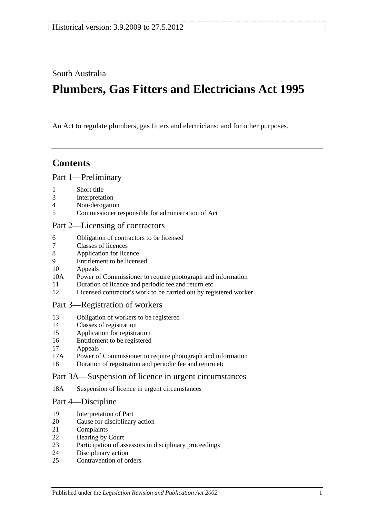South Australia

# **Plumbers, Gas Fitters and Electricians Act 1995**

An Act to regulate plumbers, gas fitters and electricians; and for other purposes.

## **Contents**

#### [Part 1—Preliminary](#page-1-0)

- [Short title](#page-1-1)
- [Interpretation](#page-1-2)
- [Non-derogation](#page-3-0)
- [Commissioner responsible for administration of Act](#page-3-1)

#### [Part 2—Licensing of contractors](#page-3-2)

- [Obligation of contractors to be licensed](#page-3-3)<br>7 Classes of licences
- [Classes of licences](#page-4-0)
- [Application for licence](#page-4-1)
- [Entitlement to be licensed](#page-5-0)
- [Appeals](#page-6-0)
- 10A [Power of Commissioner to require photograph and information](#page-7-0)
- [Duration of licence and periodic fee and return etc](#page-7-1)
- [Licensed contractor's work to be carried out by registered worker](#page-7-2)

#### [Part 3—Registration of workers](#page-8-0)

- [Obligation of workers to be registered](#page-8-1)
- [Classes of registration](#page-8-2)
- [Application for registration](#page-9-0)
- [Entitlement to be registered](#page-9-1)
- [Appeals](#page-9-2)
- 17A [Power of Commissioner to require photograph and information](#page-10-0)
- [Duration of registration and periodic fee and return etc](#page-10-1)

#### [Part 3A—Suspension of licence in urgent circumstances](#page-11-0)

18A [Suspension of licence in urgent circumstances](#page-11-1)

#### [Part 4—Discipline](#page-12-0)

- [Interpretation of Part](#page-12-1)
- [Cause for disciplinary action](#page-12-2)
- [Complaints](#page-13-0)
- [Hearing by Court](#page-13-1)
- [Participation of assessors in disciplinary proceedings](#page-13-2)
- [Disciplinary action](#page-13-3)
- [Contravention of orders](#page-14-0)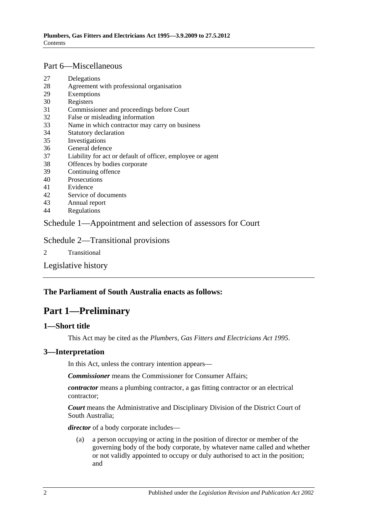## [Part 6—Miscellaneous](#page-14-1)

- 27 [Delegations](#page-14-2)
- 28 [Agreement with professional organisation](#page-15-0)
- 29 [Exemptions](#page-15-1)
- 30 [Registers](#page-15-2)
- 31 [Commissioner and proceedings before Court](#page-16-0)
- 32 [False or misleading information](#page-16-1)
- 33 [Name in which contractor may carry on business](#page-16-2)
- 34 [Statutory declaration](#page-17-0)
- 35 [Investigations](#page-17-1)
- 36 [General defence](#page-17-2)
- 37 [Liability for act or default of officer, employee or agent](#page-17-3)
- 38 [Offences by bodies corporate](#page-17-4)
- 39 [Continuing offence](#page-17-5)
- 40 [Prosecutions](#page-18-0)
- 41 [Evidence](#page-18-1)
- 42 [Service of documents](#page-18-2)
- 43 [Annual report](#page-19-0)
- 44 [Regulations](#page-19-1)

## [Schedule 1—Appointment and selection of assessors for Court](#page-19-2)

## [Schedule 2—Transitional provisions](#page-20-0)

2 [Transitional](#page-20-1)

[Legislative history](#page-22-0)

## <span id="page-1-0"></span>**The Parliament of South Australia enacts as follows:**

# **Part 1—Preliminary**

#### <span id="page-1-1"></span>**1—Short title**

This Act may be cited as the *Plumbers, Gas Fitters and Electricians Act 1995*.

#### <span id="page-1-2"></span>**3—Interpretation**

In this Act, unless the contrary intention appears—

*Commissioner* means the Commissioner for Consumer Affairs;

*contractor* means a plumbing contractor, a gas fitting contractor or an electrical contractor;

*Court* means the Administrative and Disciplinary Division of the District Court of South Australia;

*director* of a body corporate includes—

(a) a person occupying or acting in the position of director or member of the governing body of the body corporate, by whatever name called and whether or not validly appointed to occupy or duly authorised to act in the position; and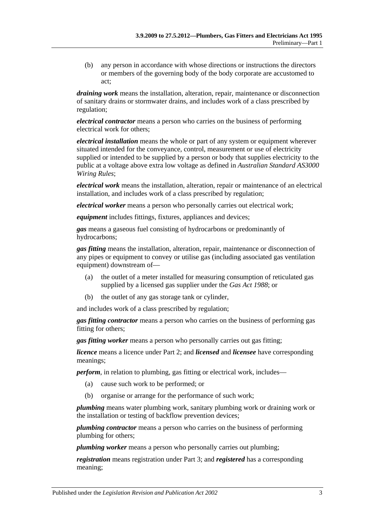(b) any person in accordance with whose directions or instructions the directors or members of the governing body of the body corporate are accustomed to act;

*draining work* means the installation, alteration, repair, maintenance or disconnection of sanitary drains or stormwater drains, and includes work of a class prescribed by regulation;

*electrical contractor* means a person who carries on the business of performing electrical work for others;

*electrical installation* means the whole or part of any system or equipment wherever situated intended for the conveyance, control, measurement or use of electricity supplied or intended to be supplied by a person or body that supplies electricity to the public at a voltage above extra low voltage as defined in *Australian Standard AS3000 Wiring Rules*;

*electrical work* means the installation, alteration, repair or maintenance of an electrical installation, and includes work of a class prescribed by regulation;

*electrical worker* means a person who personally carries out electrical work;

*equipment* includes fittings, fixtures, appliances and devices;

*gas* means a gaseous fuel consisting of hydrocarbons or predominantly of hydrocarbons;

*gas fitting* means the installation, alteration, repair, maintenance or disconnection of any pipes or equipment to convey or utilise gas (including associated gas ventilation equipment) downstream of—

- (a) the outlet of a meter installed for measuring consumption of reticulated gas supplied by a licensed gas supplier under the *[Gas Act](http://www.legislation.sa.gov.au/index.aspx?action=legref&type=act&legtitle=Gas%20Act%201988) 1988*; or
- (b) the outlet of any gas storage tank or cylinder,

and includes work of a class prescribed by regulation;

*gas fitting contractor* means a person who carries on the business of performing gas fitting for others;

*gas fitting worker* means a person who personally carries out gas fitting;

*licence* means a licence under [Part 2;](#page-3-2) and *licensed* and *licensee* have corresponding meanings;

*perform*, in relation to plumbing, gas fitting or electrical work, includes—

- (a) cause such work to be performed; or
- (b) organise or arrange for the performance of such work;

*plumbing* means water plumbing work, sanitary plumbing work or draining work or the installation or testing of backflow prevention devices;

*plumbing contractor* means a person who carries on the business of performing plumbing for others;

*plumbing worker* means a person who personally carries out plumbing;

*registration* means registration under [Part 3;](#page-8-0) and *registered* has a corresponding meaning;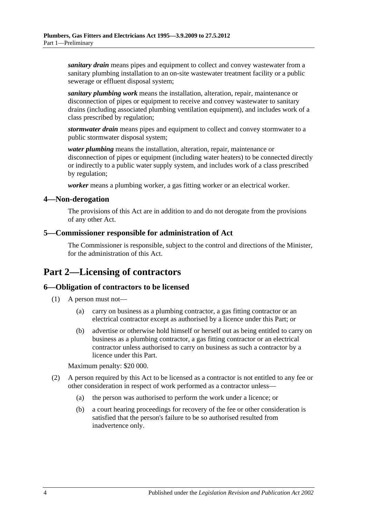*sanitary drain* means pipes and equipment to collect and convey wastewater from a sanitary plumbing installation to an on-site wastewater treatment facility or a public sewerage or effluent disposal system;

*sanitary plumbing work* means the installation, alteration, repair, maintenance or disconnection of pipes or equipment to receive and convey wastewater to sanitary drains (including associated plumbing ventilation equipment), and includes work of a class prescribed by regulation;

*stormwater drain* means pipes and equipment to collect and convey stormwater to a public stormwater disposal system;

*water plumbing* means the installation, alteration, repair, maintenance or disconnection of pipes or equipment (including water heaters) to be connected directly or indirectly to a public water supply system, and includes work of a class prescribed by regulation;

*worker* means a plumbing worker, a gas fitting worker or an electrical worker.

#### <span id="page-3-0"></span>**4—Non-derogation**

The provisions of this Act are in addition to and do not derogate from the provisions of any other Act.

#### <span id="page-3-1"></span>**5—Commissioner responsible for administration of Act**

The Commissioner is responsible, subject to the control and directions of the Minister, for the administration of this Act.

# <span id="page-3-2"></span>**Part 2—Licensing of contractors**

#### <span id="page-3-3"></span>**6—Obligation of contractors to be licensed**

- (1) A person must not—
	- (a) carry on business as a plumbing contractor, a gas fitting contractor or an electrical contractor except as authorised by a licence under this Part; or
	- (b) advertise or otherwise hold himself or herself out as being entitled to carry on business as a plumbing contractor, a gas fitting contractor or an electrical contractor unless authorised to carry on business as such a contractor by a licence under this Part.

Maximum penalty: \$20 000.

- (2) A person required by this Act to be licensed as a contractor is not entitled to any fee or other consideration in respect of work performed as a contractor unless—
	- (a) the person was authorised to perform the work under a licence; or
	- (b) a court hearing proceedings for recovery of the fee or other consideration is satisfied that the person's failure to be so authorised resulted from inadvertence only.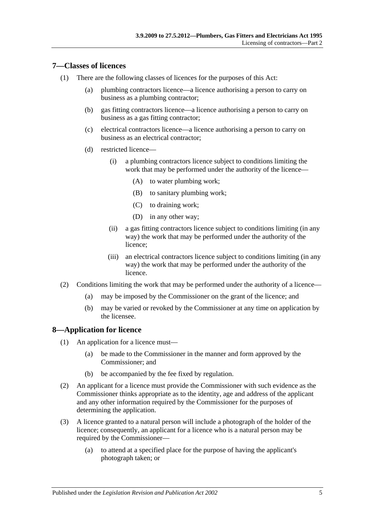#### <span id="page-4-0"></span>**7—Classes of licences**

- (1) There are the following classes of licences for the purposes of this Act:
	- (a) plumbing contractors licence—a licence authorising a person to carry on business as a plumbing contractor;
	- (b) gas fitting contractors licence—a licence authorising a person to carry on business as a gas fitting contractor;
	- (c) electrical contractors licence—a licence authorising a person to carry on business as an electrical contractor;
	- (d) restricted licence—
		- (i) a plumbing contractors licence subject to conditions limiting the work that may be performed under the authority of the licence—
			- (A) to water plumbing work;
			- (B) to sanitary plumbing work;
			- (C) to draining work;
			- (D) in any other way;
		- (ii) a gas fitting contractors licence subject to conditions limiting (in any way) the work that may be performed under the authority of the licence;
		- (iii) an electrical contractors licence subject to conditions limiting (in any way) the work that may be performed under the authority of the licence.
- (2) Conditions limiting the work that may be performed under the authority of a licence—
	- (a) may be imposed by the Commissioner on the grant of the licence; and
	- (b) may be varied or revoked by the Commissioner at any time on application by the licensee.

#### <span id="page-4-1"></span>**8—Application for licence**

- (1) An application for a licence must—
	- (a) be made to the Commissioner in the manner and form approved by the Commissioner; and
	- (b) be accompanied by the fee fixed by regulation.
- (2) An applicant for a licence must provide the Commissioner with such evidence as the Commissioner thinks appropriate as to the identity, age and address of the applicant and any other information required by the Commissioner for the purposes of determining the application.
- (3) A licence granted to a natural person will include a photograph of the holder of the licence; consequently, an applicant for a licence who is a natural person may be required by the Commissioner—
	- (a) to attend at a specified place for the purpose of having the applicant's photograph taken; or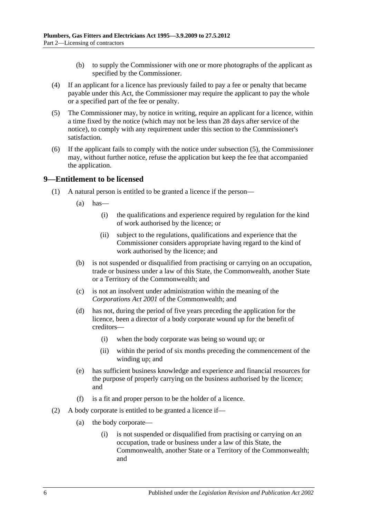- (b) to supply the Commissioner with one or more photographs of the applicant as specified by the Commissioner.
- (4) If an applicant for a licence has previously failed to pay a fee or penalty that became payable under this Act, the Commissioner may require the applicant to pay the whole or a specified part of the fee or penalty.
- <span id="page-5-1"></span>(5) The Commissioner may, by notice in writing, require an applicant for a licence, within a time fixed by the notice (which may not be less than 28 days after service of the notice), to comply with any requirement under this section to the Commissioner's satisfaction.
- (6) If the applicant fails to comply with the notice under [subsection](#page-5-1) (5), the Commissioner may, without further notice, refuse the application but keep the fee that accompanied the application.

#### <span id="page-5-0"></span>**9—Entitlement to be licensed**

- (1) A natural person is entitled to be granted a licence if the person—
	- $(a)$  has
		- (i) the qualifications and experience required by regulation for the kind of work authorised by the licence; or
		- (ii) subject to the regulations, qualifications and experience that the Commissioner considers appropriate having regard to the kind of work authorised by the licence; and
	- (b) is not suspended or disqualified from practising or carrying on an occupation, trade or business under a law of this State, the Commonwealth, another State or a Territory of the Commonwealth; and
	- (c) is not an insolvent under administration within the meaning of the *Corporations Act 2001* of the Commonwealth; and
	- (d) has not, during the period of five years preceding the application for the licence, been a director of a body corporate wound up for the benefit of creditors—
		- (i) when the body corporate was being so wound up; or
		- (ii) within the period of six months preceding the commencement of the winding up; and
	- (e) has sufficient business knowledge and experience and financial resources for the purpose of properly carrying on the business authorised by the licence; and
	- (f) is a fit and proper person to be the holder of a licence.
- (2) A body corporate is entitled to be granted a licence if—
	- (a) the body corporate—
		- (i) is not suspended or disqualified from practising or carrying on an occupation, trade or business under a law of this State, the Commonwealth, another State or a Territory of the Commonwealth; and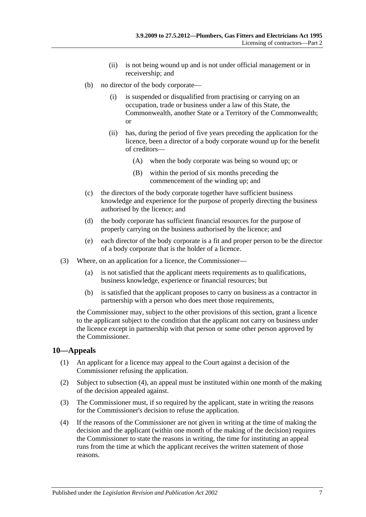- (ii) is not being wound up and is not under official management or in receivership; and
- (b) no director of the body corporate—
	- (i) is suspended or disqualified from practising or carrying on an occupation, trade or business under a law of this State, the Commonwealth, another State or a Territory of the Commonwealth; or
	- (ii) has, during the period of five years preceding the application for the licence, been a director of a body corporate wound up for the benefit of creditors—
		- (A) when the body corporate was being so wound up; or
		- (B) within the period of six months preceding the commencement of the winding up; and
- (c) the directors of the body corporate together have sufficient business knowledge and experience for the purpose of properly directing the business authorised by the licence; and
- (d) the body corporate has sufficient financial resources for the purpose of properly carrying on the business authorised by the licence; and
- (e) each director of the body corporate is a fit and proper person to be the director of a body corporate that is the holder of a licence.
- (3) Where, on an application for a licence, the Commissioner—
	- (a) is not satisfied that the applicant meets requirements as to qualifications, business knowledge, experience or financial resources; but
	- (b) is satisfied that the applicant proposes to carry on business as a contractor in partnership with a person who does meet those requirements,

the Commissioner may, subject to the other provisions of this section, grant a licence to the applicant subject to the condition that the applicant not carry on business under the licence except in partnership with that person or some other person approved by the Commissioner.

#### <span id="page-6-0"></span>**10—Appeals**

- (1) An applicant for a licence may appeal to the Court against a decision of the Commissioner refusing the application.
- (2) Subject to [subsection](#page-6-1) (4), an appeal must be instituted within one month of the making of the decision appealed against.
- (3) The Commissioner must, if so required by the applicant, state in writing the reasons for the Commissioner's decision to refuse the application.
- <span id="page-6-1"></span>(4) If the reasons of the Commissioner are not given in writing at the time of making the decision and the applicant (within one month of the making of the decision) requires the Commissioner to state the reasons in writing, the time for instituting an appeal runs from the time at which the applicant receives the written statement of those reasons.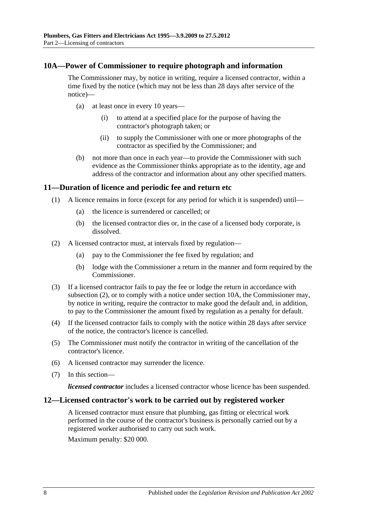#### <span id="page-7-0"></span>**10A—Power of Commissioner to require photograph and information**

The Commissioner may, by notice in writing, require a licensed contractor, within a time fixed by the notice (which may not be less than 28 days after service of the notice)—

- (a) at least once in every 10 years—
	- (i) to attend at a specified place for the purpose of having the contractor's photograph taken; or
	- (ii) to supply the Commissioner with one or more photographs of the contractor as specified by the Commissioner; and
- (b) not more than once in each year—to provide the Commissioner with such evidence as the Commissioner thinks appropriate as to the identity, age and address of the contractor and information about any other specified matters.

#### <span id="page-7-1"></span>**11—Duration of licence and periodic fee and return etc**

- (1) A licence remains in force (except for any period for which it is suspended) until—
	- (a) the licence is surrendered or cancelled; or
	- (b) the licensed contractor dies or, in the case of a licensed body corporate, is dissolved.
- <span id="page-7-3"></span>(2) A licensed contractor must, at intervals fixed by regulation—
	- (a) pay to the Commissioner the fee fixed by regulation; and
	- (b) lodge with the Commissioner a return in the manner and form required by the Commissioner.
- (3) If a licensed contractor fails to pay the fee or lodge the return in accordance with [subsection](#page-7-3) (2), or to comply with a notice under [section](#page-7-0) 10A, the Commissioner may, by notice in writing, require the contractor to make good the default and, in addition, to pay to the Commissioner the amount fixed by regulation as a penalty for default.
- (4) If the licensed contractor fails to comply with the notice within 28 days after service of the notice, the contractor's licence is cancelled.
- (5) The Commissioner must notify the contractor in writing of the cancellation of the contractor's licence.
- (6) A licensed contractor may surrender the licence.
- (7) In this section—

*licensed contractor* includes a licensed contractor whose licence has been suspended.

#### <span id="page-7-2"></span>**12—Licensed contractor's work to be carried out by registered worker**

A licensed contractor must ensure that plumbing, gas fitting or electrical work performed in the course of the contractor's business is personally carried out by a registered worker authorised to carry out such work.

Maximum penalty: \$20 000.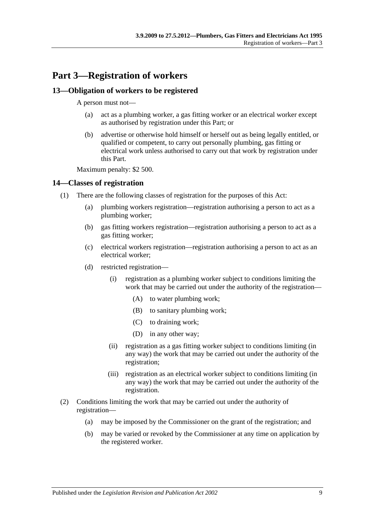# <span id="page-8-0"></span>**Part 3—Registration of workers**

## <span id="page-8-1"></span>**13—Obligation of workers to be registered**

A person must not—

- (a) act as a plumbing worker, a gas fitting worker or an electrical worker except as authorised by registration under this Part; or
- (b) advertise or otherwise hold himself or herself out as being legally entitled, or qualified or competent, to carry out personally plumbing, gas fitting or electrical work unless authorised to carry out that work by registration under this Part.

Maximum penalty: \$2 500.

#### <span id="page-8-2"></span>**14—Classes of registration**

- (1) There are the following classes of registration for the purposes of this Act:
	- (a) plumbing workers registration—registration authorising a person to act as a plumbing worker;
	- (b) gas fitting workers registration—registration authorising a person to act as a gas fitting worker;
	- (c) electrical workers registration—registration authorising a person to act as an electrical worker;
	- (d) restricted registration—
		- (i) registration as a plumbing worker subject to conditions limiting the work that may be carried out under the authority of the registration—
			- (A) to water plumbing work;
			- (B) to sanitary plumbing work;
			- (C) to draining work;
			- (D) in any other way;
		- (ii) registration as a gas fitting worker subject to conditions limiting (in any way) the work that may be carried out under the authority of the registration;
		- (iii) registration as an electrical worker subject to conditions limiting (in any way) the work that may be carried out under the authority of the registration.
- (2) Conditions limiting the work that may be carried out under the authority of registration—
	- (a) may be imposed by the Commissioner on the grant of the registration; and
	- (b) may be varied or revoked by the Commissioner at any time on application by the registered worker.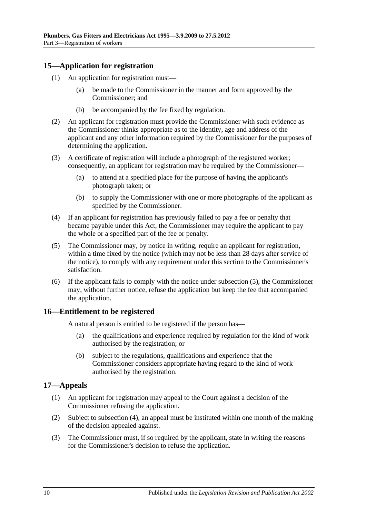## <span id="page-9-0"></span>**15—Application for registration**

- (1) An application for registration must—
	- (a) be made to the Commissioner in the manner and form approved by the Commissioner; and
	- (b) be accompanied by the fee fixed by regulation.
- (2) An applicant for registration must provide the Commissioner with such evidence as the Commissioner thinks appropriate as to the identity, age and address of the applicant and any other information required by the Commissioner for the purposes of determining the application.
- (3) A certificate of registration will include a photograph of the registered worker; consequently, an applicant for registration may be required by the Commissioner—
	- (a) to attend at a specified place for the purpose of having the applicant's photograph taken; or
	- (b) to supply the Commissioner with one or more photographs of the applicant as specified by the Commissioner.
- (4) If an applicant for registration has previously failed to pay a fee or penalty that became payable under this Act, the Commissioner may require the applicant to pay the whole or a specified part of the fee or penalty.
- <span id="page-9-3"></span>(5) The Commissioner may, by notice in writing, require an applicant for registration, within a time fixed by the notice (which may not be less than 28 days after service of the notice), to comply with any requirement under this section to the Commissioner's satisfaction.
- (6) If the applicant fails to comply with the notice under [subsection](#page-9-3) (5), the Commissioner may, without further notice, refuse the application but keep the fee that accompanied the application.

#### <span id="page-9-1"></span>**16—Entitlement to be registered**

A natural person is entitled to be registered if the person has—

- (a) the qualifications and experience required by regulation for the kind of work authorised by the registration; or
- (b) subject to the regulations, qualifications and experience that the Commissioner considers appropriate having regard to the kind of work authorised by the registration.

#### <span id="page-9-2"></span>**17—Appeals**

- (1) An applicant for registration may appeal to the Court against a decision of the Commissioner refusing the application.
- (2) Subject to [subsection](#page-10-2) (4), an appeal must be instituted within one month of the making of the decision appealed against.
- (3) The Commissioner must, if so required by the applicant, state in writing the reasons for the Commissioner's decision to refuse the application.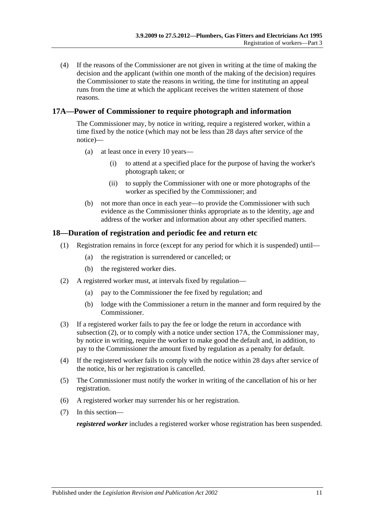<span id="page-10-2"></span>(4) If the reasons of the Commissioner are not given in writing at the time of making the decision and the applicant (within one month of the making of the decision) requires the Commissioner to state the reasons in writing, the time for instituting an appeal runs from the time at which the applicant receives the written statement of those reasons.

## <span id="page-10-0"></span>**17A—Power of Commissioner to require photograph and information**

The Commissioner may, by notice in writing, require a registered worker, within a time fixed by the notice (which may not be less than 28 days after service of the notice)—

- (a) at least once in every 10 years—
	- (i) to attend at a specified place for the purpose of having the worker's photograph taken; or
	- (ii) to supply the Commissioner with one or more photographs of the worker as specified by the Commissioner; and
- (b) not more than once in each year—to provide the Commissioner with such evidence as the Commissioner thinks appropriate as to the identity, age and address of the worker and information about any other specified matters.

#### <span id="page-10-1"></span>**18—Duration of registration and periodic fee and return etc**

- (1) Registration remains in force (except for any period for which it is suspended) until—
	- (a) the registration is surrendered or cancelled; or
	- (b) the registered worker dies.
- <span id="page-10-3"></span>(2) A registered worker must, at intervals fixed by regulation—
	- (a) pay to the Commissioner the fee fixed by regulation; and
	- (b) lodge with the Commissioner a return in the manner and form required by the Commissioner.
- (3) If a registered worker fails to pay the fee or lodge the return in accordance with [subsection](#page-10-3) (2), or to comply with a notice under [section](#page-10-0) 17A, the Commissioner may, by notice in writing, require the worker to make good the default and, in addition, to pay to the Commissioner the amount fixed by regulation as a penalty for default.
- (4) If the registered worker fails to comply with the notice within 28 days after service of the notice, his or her registration is cancelled.
- (5) The Commissioner must notify the worker in writing of the cancellation of his or her registration.
- (6) A registered worker may surrender his or her registration.
- (7) In this section—

*registered worker* includes a registered worker whose registration has been suspended.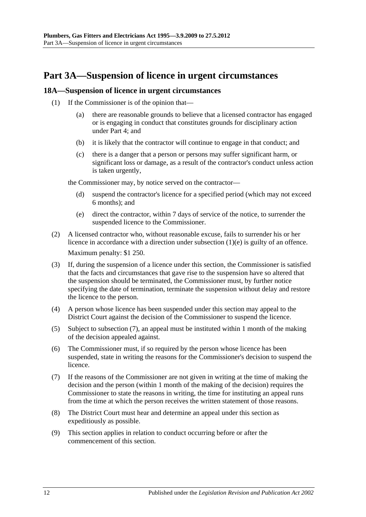# <span id="page-11-0"></span>**Part 3A—Suspension of licence in urgent circumstances**

#### <span id="page-11-1"></span>**18A—Suspension of licence in urgent circumstances**

- (1) If the Commissioner is of the opinion that—
	- (a) there are reasonable grounds to believe that a licensed contractor has engaged or is engaging in conduct that constitutes grounds for disciplinary action under [Part 4;](#page-12-0) and
	- (b) it is likely that the contractor will continue to engage in that conduct; and
	- (c) there is a danger that a person or persons may suffer significant harm, or significant loss or damage, as a result of the contractor's conduct unless action is taken urgently,

the Commissioner may, by notice served on the contractor—

- (d) suspend the contractor's licence for a specified period (which may not exceed 6 months); and
- (e) direct the contractor, within 7 days of service of the notice, to surrender the suspended licence to the Commissioner.
- <span id="page-11-2"></span>(2) A licensed contractor who, without reasonable excuse, fails to surrender his or her licence in accordance with a direction under [subsection](#page-11-2) (1)(e) is guilty of an offence. Maximum penalty: \$1 250.
- (3) If, during the suspension of a licence under this section, the Commissioner is satisfied that the facts and circumstances that gave rise to the suspension have so altered that the suspension should be terminated, the Commissioner must, by further notice specifying the date of termination, terminate the suspension without delay and restore the licence to the person.
- (4) A person whose licence has been suspended under this section may appeal to the District Court against the decision of the Commissioner to suspend the licence.
- (5) Subject to [subsection](#page-11-3) (7), an appeal must be instituted within 1 month of the making of the decision appealed against.
- (6) The Commissioner must, if so required by the person whose licence has been suspended, state in writing the reasons for the Commissioner's decision to suspend the licence.
- <span id="page-11-3"></span>(7) If the reasons of the Commissioner are not given in writing at the time of making the decision and the person (within 1 month of the making of the decision) requires the Commissioner to state the reasons in writing, the time for instituting an appeal runs from the time at which the person receives the written statement of those reasons.
- (8) The District Court must hear and determine an appeal under this section as expeditiously as possible.
- (9) This section applies in relation to conduct occurring before or after the commencement of this section.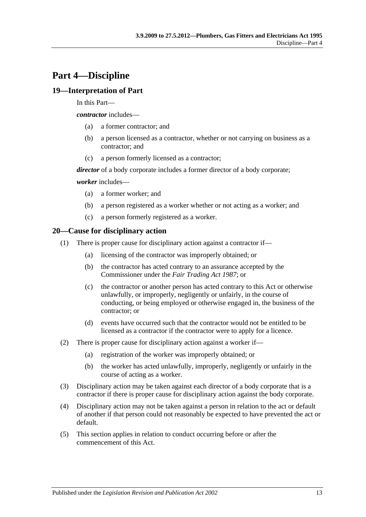# <span id="page-12-0"></span>**Part 4—Discipline**

## <span id="page-12-1"></span>**19—Interpretation of Part**

In this Part—

*contractor* includes—

- (a) a former contractor; and
- (b) a person licensed as a contractor, whether or not carrying on business as a contractor; and
- (c) a person formerly licensed as a contractor;

*director* of a body corporate includes a former director of a body corporate;

#### *worker* includes—

- (a) a former worker; and
- (b) a person registered as a worker whether or not acting as a worker; and
- (c) a person formerly registered as a worker.

#### <span id="page-12-2"></span>**20—Cause for disciplinary action**

- (1) There is proper cause for disciplinary action against a contractor if—
	- (a) licensing of the contractor was improperly obtained; or
	- (b) the contractor has acted contrary to an assurance accepted by the Commissioner under the *[Fair Trading Act](http://www.legislation.sa.gov.au/index.aspx?action=legref&type=act&legtitle=Fair%20Trading%20Act%201987) 1987*; or
	- (c) the contractor or another person has acted contrary to this Act or otherwise unlawfully, or improperly, negligently or unfairly, in the course of conducting, or being employed or otherwise engaged in, the business of the contractor; or
	- (d) events have occurred such that the contractor would not be entitled to be licensed as a contractor if the contractor were to apply for a licence.
- (2) There is proper cause for disciplinary action against a worker if—
	- (a) registration of the worker was improperly obtained; or
	- (b) the worker has acted unlawfully, improperly, negligently or unfairly in the course of acting as a worker.
- (3) Disciplinary action may be taken against each director of a body corporate that is a contractor if there is proper cause for disciplinary action against the body corporate.
- (4) Disciplinary action may not be taken against a person in relation to the act or default of another if that person could not reasonably be expected to have prevented the act or default.
- (5) This section applies in relation to conduct occurring before or after the commencement of this Act.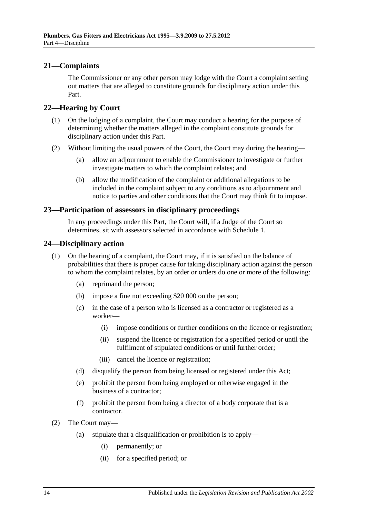### <span id="page-13-0"></span>**21—Complaints**

The Commissioner or any other person may lodge with the Court a complaint setting out matters that are alleged to constitute grounds for disciplinary action under this Part.

#### <span id="page-13-1"></span>**22—Hearing by Court**

- (1) On the lodging of a complaint, the Court may conduct a hearing for the purpose of determining whether the matters alleged in the complaint constitute grounds for disciplinary action under this Part.
- (2) Without limiting the usual powers of the Court, the Court may during the hearing—
	- (a) allow an adjournment to enable the Commissioner to investigate or further investigate matters to which the complaint relates; and
	- (b) allow the modification of the complaint or additional allegations to be included in the complaint subject to any conditions as to adjournment and notice to parties and other conditions that the Court may think fit to impose.

#### <span id="page-13-2"></span>**23—Participation of assessors in disciplinary proceedings**

In any proceedings under this Part, the Court will, if a Judge of the Court so determines, sit with assessors selected in accordance with [Schedule](#page-19-2) 1.

#### <span id="page-13-3"></span>**24—Disciplinary action**

- (1) On the hearing of a complaint, the Court may, if it is satisfied on the balance of probabilities that there is proper cause for taking disciplinary action against the person to whom the complaint relates, by an order or orders do one or more of the following:
	- (a) reprimand the person;
	- (b) impose a fine not exceeding \$20 000 on the person;
	- (c) in the case of a person who is licensed as a contractor or registered as a worker—
		- (i) impose conditions or further conditions on the licence or registration;
		- (ii) suspend the licence or registration for a specified period or until the fulfilment of stipulated conditions or until further order;
		- (iii) cancel the licence or registration;
	- (d) disqualify the person from being licensed or registered under this Act;
	- (e) prohibit the person from being employed or otherwise engaged in the business of a contractor;
	- (f) prohibit the person from being a director of a body corporate that is a contractor.
- (2) The Court may—
	- (a) stipulate that a disqualification or prohibition is to apply—
		- (i) permanently; or
		- (ii) for a specified period; or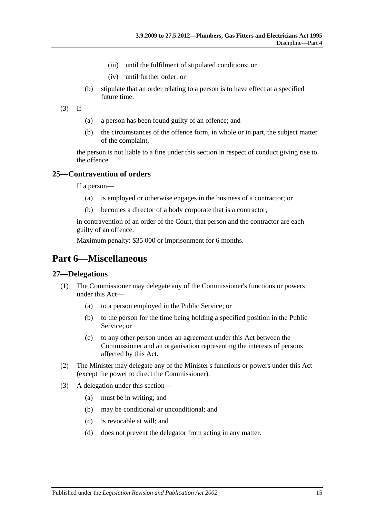- (iii) until the fulfilment of stipulated conditions; or
- (iv) until further order; or
- (b) stipulate that an order relating to a person is to have effect at a specified future time.
- $(3)$  If—
	- (a) a person has been found guilty of an offence; and
	- (b) the circumstances of the offence form, in whole or in part, the subject matter of the complaint,

the person is not liable to a fine under this section in respect of conduct giving rise to the offence.

#### <span id="page-14-0"></span>**25—Contravention of orders**

If a person—

- (a) is employed or otherwise engages in the business of a contractor; or
- (b) becomes a director of a body corporate that is a contractor,

in contravention of an order of the Court, that person and the contractor are each guilty of an offence.

Maximum penalty: \$35 000 or imprisonment for 6 months.

## <span id="page-14-1"></span>**Part 6—Miscellaneous**

#### <span id="page-14-2"></span>**27—Delegations**

- (1) The Commissioner may delegate any of the Commissioner's functions or powers under this Act—
	- (a) to a person employed in the Public Service; or
	- (b) to the person for the time being holding a specified position in the Public Service; or
	- (c) to any other person under an agreement under this Act between the Commissioner and an organisation representing the interests of persons affected by this Act.
- (2) The Minister may delegate any of the Minister's functions or powers under this Act (except the power to direct the Commissioner).
- (3) A delegation under this section—
	- (a) must be in writing; and
	- (b) may be conditional or unconditional; and
	- (c) is revocable at will; and
	- (d) does not prevent the delegator from acting in any matter.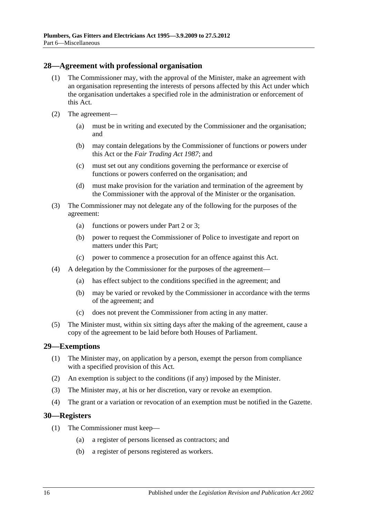#### <span id="page-15-0"></span>**28—Agreement with professional organisation**

- (1) The Commissioner may, with the approval of the Minister, make an agreement with an organisation representing the interests of persons affected by this Act under which the organisation undertakes a specified role in the administration or enforcement of this Act.
- (2) The agreement—
	- (a) must be in writing and executed by the Commissioner and the organisation; and
	- (b) may contain delegations by the Commissioner of functions or powers under this Act or the *[Fair Trading Act](http://www.legislation.sa.gov.au/index.aspx?action=legref&type=act&legtitle=Fair%20Trading%20Act%201987) 1987*; and
	- (c) must set out any conditions governing the performance or exercise of functions or powers conferred on the organisation; and
	- (d) must make provision for the variation and termination of the agreement by the Commissioner with the approval of the Minister or the organisation.
- (3) The Commissioner may not delegate any of the following for the purposes of the agreement:
	- (a) functions or powers under [Part 2](#page-3-2) or [3;](#page-8-0)
	- (b) power to request the Commissioner of Police to investigate and report on matters under this Part;
	- (c) power to commence a prosecution for an offence against this Act.
- (4) A delegation by the Commissioner for the purposes of the agreement—
	- (a) has effect subject to the conditions specified in the agreement; and
	- (b) may be varied or revoked by the Commissioner in accordance with the terms of the agreement; and
	- (c) does not prevent the Commissioner from acting in any matter.
- (5) The Minister must, within six sitting days after the making of the agreement, cause a copy of the agreement to be laid before both Houses of Parliament.

#### <span id="page-15-1"></span>**29—Exemptions**

- (1) The Minister may, on application by a person, exempt the person from compliance with a specified provision of this Act.
- (2) An exemption is subject to the conditions (if any) imposed by the Minister.
- (3) The Minister may, at his or her discretion, vary or revoke an exemption.
- (4) The grant or a variation or revocation of an exemption must be notified in the Gazette.

#### <span id="page-15-2"></span>**30—Registers**

- (1) The Commissioner must keep—
	- (a) a register of persons licensed as contractors; and
	- (b) a register of persons registered as workers.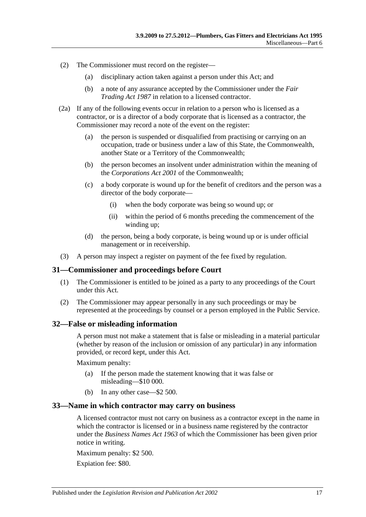- (2) The Commissioner must record on the register—
	- (a) disciplinary action taken against a person under this Act; and
	- (b) a note of any assurance accepted by the Commissioner under the *[Fair](http://www.legislation.sa.gov.au/index.aspx?action=legref&type=act&legtitle=Fair%20Trading%20Act%201987)  [Trading Act](http://www.legislation.sa.gov.au/index.aspx?action=legref&type=act&legtitle=Fair%20Trading%20Act%201987) 1987* in relation to a licensed contractor.
- (2a) If any of the following events occur in relation to a person who is licensed as a contractor, or is a director of a body corporate that is licensed as a contractor, the Commissioner may record a note of the event on the register:
	- (a) the person is suspended or disqualified from practising or carrying on an occupation, trade or business under a law of this State, the Commonwealth, another State or a Territory of the Commonwealth;
	- (b) the person becomes an insolvent under administration within the meaning of the *Corporations Act 2001* of the Commonwealth;
	- (c) a body corporate is wound up for the benefit of creditors and the person was a director of the body corporate—
		- (i) when the body corporate was being so wound up; or
		- (ii) within the period of 6 months preceding the commencement of the winding up;
	- (d) the person, being a body corporate, is being wound up or is under official management or in receivership.
- (3) A person may inspect a register on payment of the fee fixed by regulation.

## <span id="page-16-0"></span>**31—Commissioner and proceedings before Court**

- (1) The Commissioner is entitled to be joined as a party to any proceedings of the Court under this Act.
- (2) The Commissioner may appear personally in any such proceedings or may be represented at the proceedings by counsel or a person employed in the Public Service.

#### <span id="page-16-1"></span>**32—False or misleading information**

A person must not make a statement that is false or misleading in a material particular (whether by reason of the inclusion or omission of any particular) in any information provided, or record kept, under this Act.

Maximum penalty:

- (a) If the person made the statement knowing that it was false or misleading—\$10 000.
- (b) In any other case—\$2 500.

#### <span id="page-16-2"></span>**33—Name in which contractor may carry on business**

A licensed contractor must not carry on business as a contractor except in the name in which the contractor is licensed or in a business name registered by the contractor under the *[Business Names Act](http://www.legislation.sa.gov.au/index.aspx?action=legref&type=act&legtitle=Business%20Names%20Act%201963) 1963* of which the Commissioner has been given prior notice in writing.

Maximum penalty: \$2 500.

Expiation fee: \$80.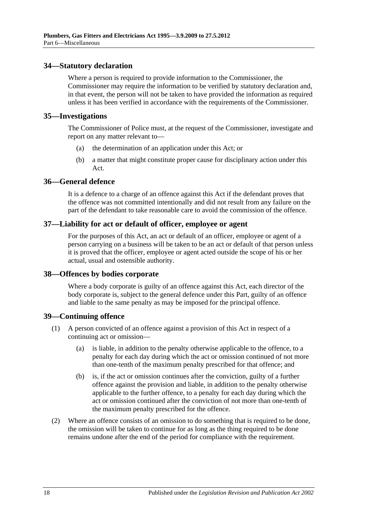#### <span id="page-17-0"></span>**34—Statutory declaration**

Where a person is required to provide information to the Commissioner, the Commissioner may require the information to be verified by statutory declaration and, in that event, the person will not be taken to have provided the information as required unless it has been verified in accordance with the requirements of the Commissioner.

#### <span id="page-17-1"></span>**35—Investigations**

The Commissioner of Police must, at the request of the Commissioner, investigate and report on any matter relevant to—

- (a) the determination of an application under this Act; or
- (b) a matter that might constitute proper cause for disciplinary action under this Act.

#### <span id="page-17-2"></span>**36—General defence**

It is a defence to a charge of an offence against this Act if the defendant proves that the offence was not committed intentionally and did not result from any failure on the part of the defendant to take reasonable care to avoid the commission of the offence.

#### <span id="page-17-3"></span>**37—Liability for act or default of officer, employee or agent**

For the purposes of this Act, an act or default of an officer, employee or agent of a person carrying on a business will be taken to be an act or default of that person unless it is proved that the officer, employee or agent acted outside the scope of his or her actual, usual and ostensible authority.

#### <span id="page-17-4"></span>**38—Offences by bodies corporate**

Where a body corporate is guilty of an offence against this Act, each director of the body corporate is, subject to the general defence under this Part, guilty of an offence and liable to the same penalty as may be imposed for the principal offence.

#### <span id="page-17-5"></span>**39—Continuing offence**

- (1) A person convicted of an offence against a provision of this Act in respect of a continuing act or omission—
	- (a) is liable, in addition to the penalty otherwise applicable to the offence, to a penalty for each day during which the act or omission continued of not more than one-tenth of the maximum penalty prescribed for that offence; and
	- (b) is, if the act or omission continues after the conviction, guilty of a further offence against the provision and liable, in addition to the penalty otherwise applicable to the further offence, to a penalty for each day during which the act or omission continued after the conviction of not more than one-tenth of the maximum penalty prescribed for the offence.
- (2) Where an offence consists of an omission to do something that is required to be done, the omission will be taken to continue for as long as the thing required to be done remains undone after the end of the period for compliance with the requirement.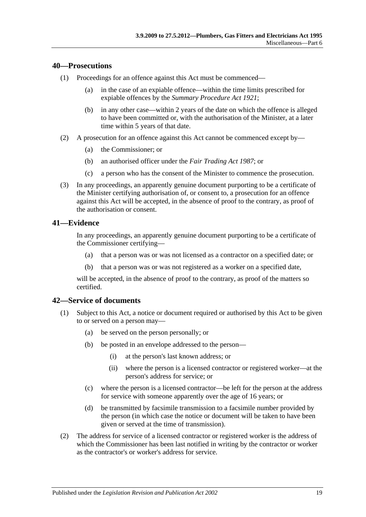#### <span id="page-18-0"></span>**40—Prosecutions**

- (1) Proceedings for an offence against this Act must be commenced—
	- (a) in the case of an expiable offence—within the time limits prescribed for expiable offences by the *[Summary Procedure Act](http://www.legislation.sa.gov.au/index.aspx?action=legref&type=act&legtitle=Summary%20Procedure%20Act%201921) 1921*;
	- (b) in any other case—within 2 years of the date on which the offence is alleged to have been committed or, with the authorisation of the Minister, at a later time within 5 years of that date.
- (2) A prosecution for an offence against this Act cannot be commenced except by—
	- (a) the Commissioner; or
	- (b) an authorised officer under the *[Fair Trading Act](http://www.legislation.sa.gov.au/index.aspx?action=legref&type=act&legtitle=Fair%20Trading%20Act%201987) 1987*; or
	- (c) a person who has the consent of the Minister to commence the prosecution.
- (3) In any proceedings, an apparently genuine document purporting to be a certificate of the Minister certifying authorisation of, or consent to, a prosecution for an offence against this Act will be accepted, in the absence of proof to the contrary, as proof of the authorisation or consent.

#### <span id="page-18-1"></span>**41—Evidence**

In any proceedings, an apparently genuine document purporting to be a certificate of the Commissioner certifying—

- (a) that a person was or was not licensed as a contractor on a specified date; or
- (b) that a person was or was not registered as a worker on a specified date,

will be accepted, in the absence of proof to the contrary, as proof of the matters so certified.

## <span id="page-18-2"></span>**42—Service of documents**

- (1) Subject to this Act, a notice or document required or authorised by this Act to be given to or served on a person may—
	- (a) be served on the person personally; or
	- (b) be posted in an envelope addressed to the person—
		- (i) at the person's last known address; or
		- (ii) where the person is a licensed contractor or registered worker—at the person's address for service; or
	- (c) where the person is a licensed contractor—be left for the person at the address for service with someone apparently over the age of 16 years; or
	- (d) be transmitted by facsimile transmission to a facsimile number provided by the person (in which case the notice or document will be taken to have been given or served at the time of transmission).
- (2) The address for service of a licensed contractor or registered worker is the address of which the Commissioner has been last notified in writing by the contractor or worker as the contractor's or worker's address for service.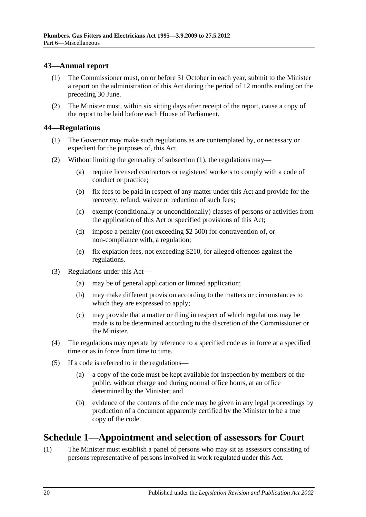## <span id="page-19-0"></span>**43—Annual report**

- (1) The Commissioner must, on or before 31 October in each year, submit to the Minister a report on the administration of this Act during the period of 12 months ending on the preceding 30 June.
- (2) The Minister must, within six sitting days after receipt of the report, cause a copy of the report to be laid before each House of Parliament.

#### <span id="page-19-3"></span><span id="page-19-1"></span>**44—Regulations**

- (1) The Governor may make such regulations as are contemplated by, or necessary or expedient for the purposes of, this Act.
- (2) Without limiting the generality of [subsection](#page-19-3) (1), the regulations may—
	- (a) require licensed contractors or registered workers to comply with a code of conduct or practice;
	- (b) fix fees to be paid in respect of any matter under this Act and provide for the recovery, refund, waiver or reduction of such fees;
	- (c) exempt (conditionally or unconditionally) classes of persons or activities from the application of this Act or specified provisions of this Act;
	- (d) impose a penalty (not exceeding \$2 500) for contravention of, or non-compliance with, a regulation;
	- (e) fix expiation fees, not exceeding \$210, for alleged offences against the regulations.
- (3) Regulations under this Act—
	- (a) may be of general application or limited application;
	- (b) may make different provision according to the matters or circumstances to which they are expressed to apply;
	- (c) may provide that a matter or thing in respect of which regulations may be made is to be determined according to the discretion of the Commissioner or the Minister.
- (4) The regulations may operate by reference to a specified code as in force at a specified time or as in force from time to time.
- (5) If a code is referred to in the regulations—
	- (a) a copy of the code must be kept available for inspection by members of the public, without charge and during normal office hours, at an office determined by the Minister; and
	- (b) evidence of the contents of the code may be given in any legal proceedings by production of a document apparently certified by the Minister to be a true copy of the code.

# <span id="page-19-2"></span>**Schedule 1—Appointment and selection of assessors for Court**

<span id="page-19-4"></span>(1) The Minister must establish a panel of persons who may sit as assessors consisting of persons representative of persons involved in work regulated under this Act.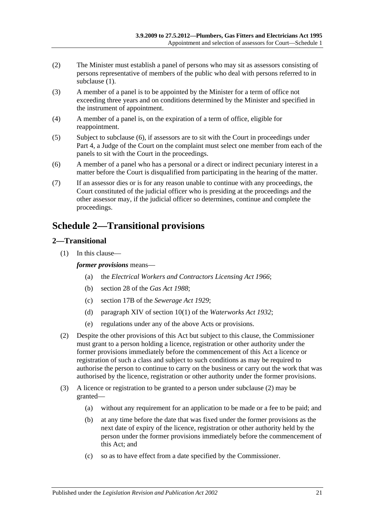- (2) The Minister must establish a panel of persons who may sit as assessors consisting of persons representative of members of the public who deal with persons referred to in [subclause](#page-19-4) (1).
- (3) A member of a panel is to be appointed by the Minister for a term of office not exceeding three years and on conditions determined by the Minister and specified in the instrument of appointment.
- (4) A member of a panel is, on the expiration of a term of office, eligible for reappointment.
- (5) Subject to [subclause](#page-20-2) (6), if assessors are to sit with the Court in proceedings under [Part 4,](#page-12-0) a Judge of the Court on the complaint must select one member from each of the panels to sit with the Court in the proceedings.
- <span id="page-20-2"></span>(6) A member of a panel who has a personal or a direct or indirect pecuniary interest in a matter before the Court is disqualified from participating in the hearing of the matter.
- (7) If an assessor dies or is for any reason unable to continue with any proceedings, the Court constituted of the judicial officer who is presiding at the proceedings and the other assessor may, if the judicial officer so determines, continue and complete the proceedings.

# <span id="page-20-0"></span>**Schedule 2—Transitional provisions**

## <span id="page-20-1"></span>**2—Transitional**

(1) In this clause—

#### *former provisions* means—

- (a) the *[Electrical Workers and Contractors Licensing Act](http://www.legislation.sa.gov.au/index.aspx?action=legref&type=act&legtitle=Electrical%20Workers%20and%20Contractors%20Licensing%20Act%201966) 1966*;
- (b) section 28 of the *[Gas Act](http://www.legislation.sa.gov.au/index.aspx?action=legref&type=act&legtitle=Gas%20Act%201988) 1988*;
- (c) section 17B of the *[Sewerage Act](http://www.legislation.sa.gov.au/index.aspx?action=legref&type=act&legtitle=Sewerage%20Act%201929) 1929*;
- (d) paragraph XIV of section 10(1) of the *[Waterworks Act](http://www.legislation.sa.gov.au/index.aspx?action=legref&type=act&legtitle=Waterworks%20Act%201932) 1932*;
- (e) regulations under any of the above Acts or provisions.
- <span id="page-20-3"></span>(2) Despite the other provisions of this Act but subject to this clause, the Commissioner must grant to a person holding a licence, registration or other authority under the former provisions immediately before the commencement of this Act a licence or registration of such a class and subject to such conditions as may be required to authorise the person to continue to carry on the business or carry out the work that was authorised by the licence, registration or other authority under the former provisions.
- (3) A licence or registration to be granted to a person under [subclause](#page-20-3) (2) may be granted—
	- (a) without any requirement for an application to be made or a fee to be paid; and
	- (b) at any time before the date that was fixed under the former provisions as the next date of expiry of the licence, registration or other authority held by the person under the former provisions immediately before the commencement of this Act; and
	- (c) so as to have effect from a date specified by the Commissioner.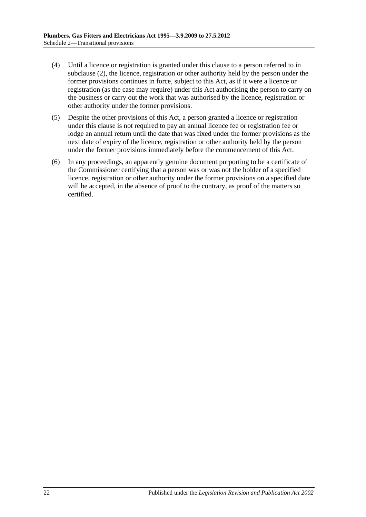- (4) Until a licence or registration is granted under this clause to a person referred to in [subclause](#page-20-3) (2), the licence, registration or other authority held by the person under the former provisions continues in force, subject to this Act, as if it were a licence or registration (as the case may require) under this Act authorising the person to carry on the business or carry out the work that was authorised by the licence, registration or other authority under the former provisions.
- (5) Despite the other provisions of this Act, a person granted a licence or registration under this clause is not required to pay an annual licence fee or registration fee or lodge an annual return until the date that was fixed under the former provisions as the next date of expiry of the licence, registration or other authority held by the person under the former provisions immediately before the commencement of this Act.
- (6) In any proceedings, an apparently genuine document purporting to be a certificate of the Commissioner certifying that a person was or was not the holder of a specified licence, registration or other authority under the former provisions on a specified date will be accepted, in the absence of proof to the contrary, as proof of the matters so certified.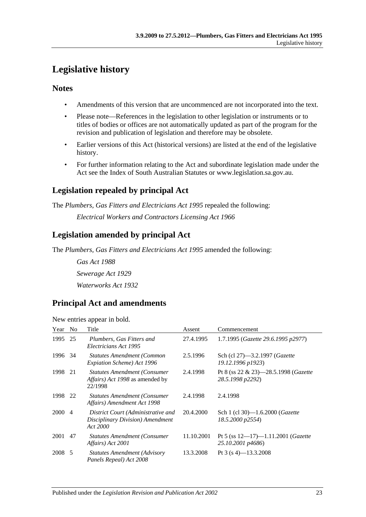# <span id="page-22-0"></span>**Legislative history**

## **Notes**

- Amendments of this version that are uncommenced are not incorporated into the text.
- Please note—References in the legislation to other legislation or instruments or to titles of bodies or offices are not automatically updated as part of the program for the revision and publication of legislation and therefore may be obsolete.
- Earlier versions of this Act (historical versions) are listed at the end of the legislative history.
- For further information relating to the Act and subordinate legislation made under the Act see the Index of South Australian Statutes or www.legislation.sa.gov.au.

## **Legislation repealed by principal Act**

The *Plumbers, Gas Fitters and Electricians Act 1995* repealed the following:

*Electrical Workers and Contractors Licensing Act 1966*

## **Legislation amended by principal Act**

The *Plumbers, Gas Fitters and Electricians Act 1995* amended the following:

*Gas Act 1988 Sewerage Act 1929 Waterworks Act 1932*

## **Principal Act and amendments**

New entries appear in bold.

| Year No |                | Title                                                                              | Assent     | Commencement                                             |
|---------|----------------|------------------------------------------------------------------------------------|------------|----------------------------------------------------------|
| 1995    | 25             | Plumbers, Gas Fitters and<br>Electricians Act 1995                                 | 27.4.1995  | 1.7.1995 (Gazette 29.6.1995 p2977)                       |
| 1996    | -34            | <b>Statutes Amendment (Common</b><br>Expiation Scheme) Act 1996                    | 2.5.1996   | Sch (cl 27)-3.2.1997 (Gazette<br>19.12.1996 p1923)       |
| 1998    | 21             | <b>Statutes Amendment (Consumer)</b><br>Affairs) Act 1998 as amended by<br>22/1998 | 2.4.1998   | Pt 8 (ss 22 & 23)-28.5.1998 (Gazette<br>28.5.1998 p2292) |
| 1998    | 22             | <b>Statutes Amendment (Consumer</b><br>Affairs) Amendment Act 1998                 | 2.4.1998   | 2.4.1998                                                 |
| 2000    | $\overline{4}$ | District Court (Administrative and<br>Disciplinary Division) Amendment<br>Act 2000 | 20.4.2000  | Sch 1 (cl 30)-1.6.2000 (Gazette<br>18.5.2000 p2554)      |
| 2001    | 47             | <b>Statutes Amendment (Consumer</b><br>Affairs) Act 2001                           | 11.10.2001 | Pt 5 (ss 12-17)-1.11.2001 (Gazette<br>25.10.2001 p4686)  |
| 2008 5  |                | <b>Statutes Amendment (Advisory</b><br>Panels Repeal) Act 2008                     | 13.3.2008  | Pt 3 (s 4)-13.3.2008                                     |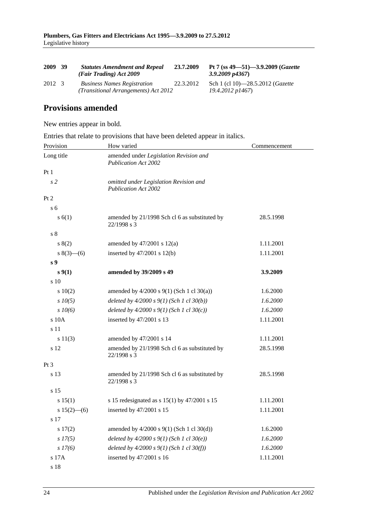| 2009   | 39 | <b>Statutes Amendment and Repeal</b><br>(Fair Trading) Act 2009            | 23.7.2009 | Pt 7 (ss $49 - 51$ ) - 3.9.2009 (Gazette<br>$3.9.2009$ $p4367$ ) |
|--------|----|----------------------------------------------------------------------------|-----------|------------------------------------------------------------------|
| 2012 3 |    | <b>Business Names Registration</b><br>(Transitional Arrangements) Act 2012 | 22.3.2012 | Sch 1 (cl 10)—28.5.2012 ( <i>Gazette</i><br>19.4.2012 p1467)     |

## **Provisions amended**

New entries appear in bold.

Entries that relate to provisions that have been deleted appear in italics.

| Provision       | How varied                                                            | Commencement |
|-----------------|-----------------------------------------------------------------------|--------------|
| Long title      | amended under Legislation Revision and<br><b>Publication Act 2002</b> |              |
| Pt <sub>1</sub> |                                                                       |              |
| s <sub>2</sub>  | omitted under Legislation Revision and<br><b>Publication Act 2002</b> |              |
| Pt 2            |                                                                       |              |
| s <sub>6</sub>  |                                                                       |              |
| s(6(1))         | amended by 21/1998 Sch cl 6 as substituted by<br>22/1998 s 3          | 28.5.1998    |
| s <sub>8</sub>  |                                                                       |              |
| 8(2)            | amended by $47/2001$ s $12(a)$                                        | 1.11.2001    |
| $s(3)$ – (6)    | inserted by $47/2001$ s $12(b)$                                       | 1.11.2001    |
| s <sub>9</sub>  |                                                                       |              |
| s(1)            | amended by 39/2009 s 49                                               | 3.9.2009     |
| s 10            |                                                                       |              |
| 10(2)           | amended by $4/2000$ s $9(1)$ (Sch 1 cl 30(a))                         | 1.6.2000     |
| $s$ $10(5)$     | deleted by $4/2000 s 9(1)$ (Sch 1 cl 30(b))                           | 1.6.2000     |
| $s$ $10(6)$     | deleted by $4/2000 s 9(1)$ (Sch 1 cl 30(c))                           | 1.6.2000     |
| $s$ 10 $A$      | inserted by 47/2001 s 13                                              | 1.11.2001    |
| s 11            |                                                                       |              |
| s 11(3)         | amended by 47/2001 s 14                                               | 1.11.2001    |
| s 12            | amended by 21/1998 Sch cl 6 as substituted by<br>22/1998 s 3          | 28.5.1998    |
| Pt 3            |                                                                       |              |
| s 13            | amended by 21/1998 Sch cl 6 as substituted by<br>22/1998 s 3          | 28.5.1998    |
| s 15            |                                                                       |              |
| s 15(1)         | s 15 redesignated as s $15(1)$ by $47/2001$ s 15                      | 1.11.2001    |
| s $15(2)$ —(6)  | inserted by 47/2001 s 15                                              | 1.11.2001    |
| s 17            |                                                                       |              |
| s 17(2)         | amended by 4/2000 s 9(1) (Sch 1 cl 30(d))                             | 1.6.2000     |
| $s$ 17(5)       | deleted by $4/2000 s 9(1)$ (Sch 1 cl 30(e))                           | 1.6.2000     |
| s 17(6)         | deleted by $4/2000 s 9(1)$ (Sch 1 cl 30(f))                           | 1.6.2000     |
| s 17A           | inserted by 47/2001 s 16                                              | 1.11.2001    |
| s 18            |                                                                       |              |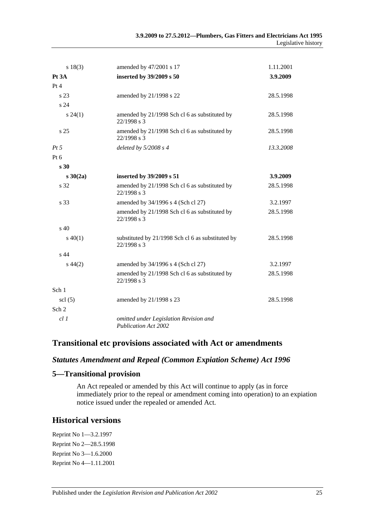| s 18(3)         | amended by 47/2001 s 17                                          | 1.11.2001 |
|-----------------|------------------------------------------------------------------|-----------|
| Pt 3A           | inserted by 39/2009 s 50                                         | 3.9.2009  |
| Pt 4            |                                                                  |           |
| s 23            | amended by 21/1998 s 22                                          | 28.5.1998 |
| s 24            |                                                                  |           |
| $s\,24(1)$      | amended by 21/1998 Sch cl 6 as substituted by<br>22/1998 s 3     | 28.5.1998 |
| s <sub>25</sub> | amended by 21/1998 Sch cl 6 as substituted by<br>$22/1998$ s 3   | 28.5.1998 |
| $Pt\,5$         | deleted by $5/2008 s 4$                                          | 13.3.2008 |
| $Pt\ 6$         |                                                                  |           |
| s <sub>30</sub> |                                                                  |           |
| $s \, 30(2a)$   | inserted by 39/2009 s 51                                         | 3.9.2009  |
| s 32            | amended by 21/1998 Sch cl 6 as substituted by<br>22/1998 s 3     | 28.5.1998 |
| s 33            | amended by 34/1996 s 4 (Sch cl 27)                               | 3.2.1997  |
|                 | amended by 21/1998 Sch cl 6 as substituted by<br>22/1998 s 3     | 28.5.1998 |
| s <sub>40</sub> |                                                                  |           |
| $s\ 40(1)$      | substituted by 21/1998 Sch cl 6 as substituted by<br>22/1998 s 3 | 28.5.1998 |
| s 44            |                                                                  |           |
| $s\,44(2)$      | amended by 34/1996 s 4 (Sch cl 27)                               | 3.2.1997  |
|                 | amended by 21/1998 Sch cl 6 as substituted by<br>22/1998 s 3     | 28.5.1998 |
| Sch 1           |                                                                  |           |
| $\text{cl}(5)$  | amended by 21/1998 s 23                                          | 28.5.1998 |
| Sch 2           |                                                                  |           |
| cl1             | omitted under Legislation Revision and<br>Publication Act 2002   |           |

## **Transitional etc provisions associated with Act or amendments**

## *Statutes Amendment and Repeal (Common Expiation Scheme) Act 1996*

#### **5—Transitional provision**

An Act repealed or amended by this Act will continue to apply (as in force immediately prior to the repeal or amendment coming into operation) to an expiation notice issued under the repealed or amended Act.

## **Historical versions**

Reprint No 1—3.2.1997 Reprint No 2—28.5.1998 Reprint No 3—1.6.2000 Reprint No 4—1.11.2001